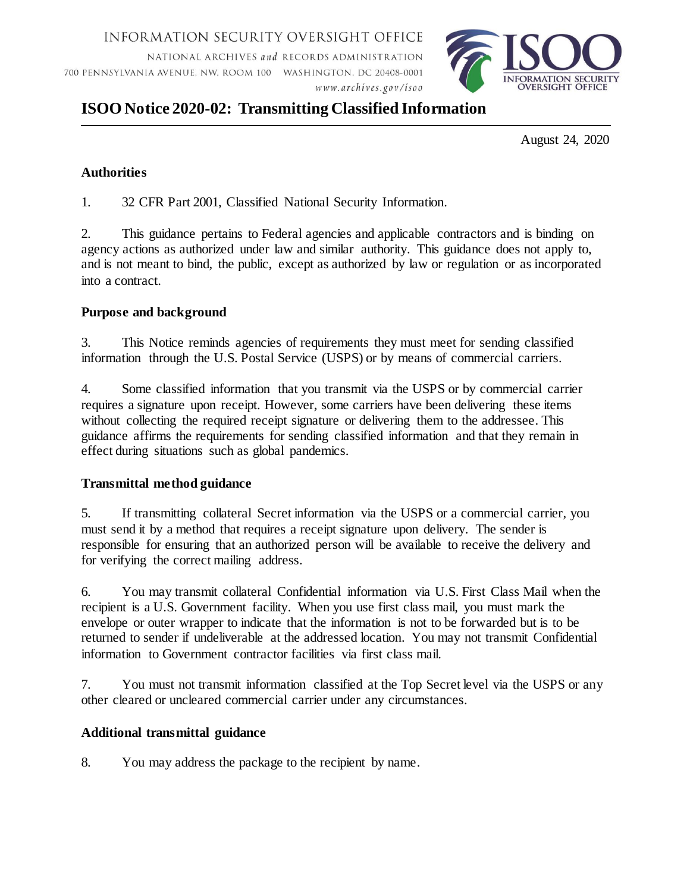INFORMATION SECURITY OVERSIGHT OFFICE

NATIONAL ARCHIVES and RECORDS ADMINISTRATION 700 PENNSYLVANIA AVENUE, NW, ROOM 100 WASHINGTON, DC 20408-0001 www.archives.gov/isoo



# **ISOO Notice 2020-02: Transmitting Classified Information**

August 24, 2020

### **Authorities**

1. 32 CFR Part 2001, Classified National Security Information.

2. This guidance pertains to Federal agencies and applicable contractors and is binding on agency actions as authorized under law and similar authority. This guidance does not apply to, and is not meant to bind, the public, except as authorized by law or regulation or as incorporated into a contract.

#### **Purpose and background**

3. This Notice reminds agencies of requirements they must meet for sending classified information through the U.S. Postal Service (USPS) or by means of commercial carriers.

4. Some classified information that you transmit via the USPS or by commercial carrier requires a signature upon receipt. However, some carriers have been delivering these items without collecting the required receipt signature or delivering them to the addressee. This guidance affirms the requirements for sending classified information and that they remain in effect during situations such as global pandemics.

## **Transmittal method guidance**

5. If transmitting collateral Secret information via the USPS or a commercial carrier, you must send it by a method that requires a receipt signature upon delivery. The sender is responsible for ensuring that an authorized person will be available to receive the delivery and for verifying the correct mailing address.

6. You may transmit collateral Confidential information via U.S. First Class Mail when the recipient is a U.S. Government facility. When you use first class mail, you must mark the envelope or outer wrapper to indicate that the information is not to be forwarded but is to be returned to sender if undeliverable at the addressed location. You may not transmit Confidential information to Government contractor facilities via first class mail.

7. You must not transmit information classified at the Top Secret level via the USPS or any other cleared or uncleared commercial carrier under any circumstances.

#### **Additional transmittal guidance**

8. You may address the package to the recipient by name.